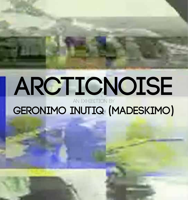# ARCTICNOISE AN EXHIBITION BY

## GERONIMO INUTIQ (MADESKIMO)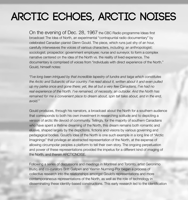### **Arctic Echoes, Arctic Noises**

On the evening of Dec. 28, 1967 the CBC Radio programme Ideas first broadcast The Idea of North, an experimental "contrapuntal radio documentary" by celebrated Canadian pianist Glenn Gould. The piece, which runs just shy of an hour, carefully interweaves the voices of various characters, including: an anthropologist; sociologist; prospector; government employee; nurse and surveyor, to form a complex narrative centered on the idea of the North vs. the reality of lived experience. The documentary is comprised of voices from "individuals with direct experience of the North." Gould, himself notes:

*"I've long been intrigued by that incredible tapestry of tundra and taiga which constitutes the Arctic and Subarctic of our country. I've read about it, written about it and even pulled up my parka once and gone there; yet, like all but a very few Canadians, I've had no real experience of the North. I've remained, of necessity, an outsider. And the North has remained for me a convenient place to dream about, spin tall tales about, and in the end, avoid."*

Gould produces, through his narrators, a broadcast about the North for a southern audience that corresponds to both his own investment in researching solitude and to depicting a version of arctic life devoid of community. Tellingly, for the majority of southern Canadians who have spent a lifetime dreaming of the North, this dream remains both romantic and elusive, shaped largely by the depictions, fictions and visions by various governing and pedagagical bodies. Gould's Idea of the North is one such example in a long line of "Arctic Imaginings" that privilege an abstracted representation of the North, at the expense of allowing circumpolar peoples a platform to tell their own story. The ongoing perpetuation and power of these representations provided the impetus for a different kind of imaging of the North, and therein ARCTICNOISE.

Following a series of discussions and meetings in Montreal and Toronto, artist Geronimo Inutiq and co-curators Britt Gallpen and Yasmin Nurming-Por began a process of collective research into the relationships amongst Gould's representations and more contemporaneous representations of the North, as well as the role of technology in disseminating these identity-based constructions. This early research led to the identification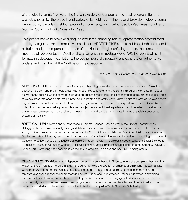of the Igloolik Isuma Archive at the National Gallery of Canada as the ideal research site for the project, chosen for the breadth and variety of its holdings in cinema and television. Igloolik Isuma Productions, Canada's first Inuit production company, was co-founded by Zacharias Kunuk and Norman Cohn in Igloolik, Nunavut in 1990.

This project seeks to provoke dialogues about the changing role of representation beyond fixed identity categories. As an immersive installation, ARCTICNOISE aims to address both abstracted historical and contemporaneous ideas of the North through conflating modes, mediums and methods of representation. Additionally, as an ongoing modular work, ARCTICNOISE will shift formats in subsequent exhibitions, thereby purposefully negating any concrete or authoritative understandings of what the North is or might become..

#### *Written by Britt Gallpen and Yasmin Nurming-Por*

**Geronimo Inutiq** considers himself amongst other things a self-taught and independent electronic & electroacoustic musician, and multi-media artist. Having been exposed to strong traditional Inuit cultural elements in his youth, as well as the exciting worlds of modern art, and broadcast & media through close members of his kin, he has been able to weave those reference points into his practice in innovative and crafty ways - allowing him to create on his own accord original works, and enter in contract with a wide variety of clients and partners seeking cultural content. Guided by the notion that creative personal expression is a very subjective and individual experience, he is interested in the dialogue that emerges between that individual and increasingly large and complex inter-related circles of socially constructed systems of meaning.

**BRITT GALLPEN** is a critic and curator based in Toronto, Canada. She is currently the Project Coordinator on Sakkijâjuk, the first major nationally touring exhibition of fine art from Nunatsiavut and co-curator of iNuit Blanche, an all-night, city-wide circumpolar art project scheduled for 2016. Britt is completing an M.A. in Art History and Curatorial Studies from York University, specializing in contemporary Canadian art. Her research considers the shifting landscape of Canadian practice alongside the legacies of iconic Canadian makers. This project is supported by the Social Science & Humanities Research Council of Canada (SSHRC). Recent curatorial projects include: Titigi (Toronto) and ARCTICNOISE (Vancouver). Her writing has appeared in Canadian Art, esse art + opinions and KAPSULA among others.

**YASMIN NURMING - POR** is an independent curator currently based in Toronto, where she completed her M.A. in Art History at the University of Toronto in 2013. She currently holds the position of gallery and exhibitions manager at Diaz Contemporary in Toronto. Her research has focused on the intersection of public performance, community, and temporal dissidence in conceptual practices in Eastern Europe and Latin America. Yasmin is invested in examining the potential for ephemeral and art-based work to provoke, intervene in, and engage with discourse around the idea of community. Yasmin has held research and programming positions at various Canadian and International artist-run centres and galleries, and was a recipient of the Robert and Jacqueline White Graduate Scholarship.